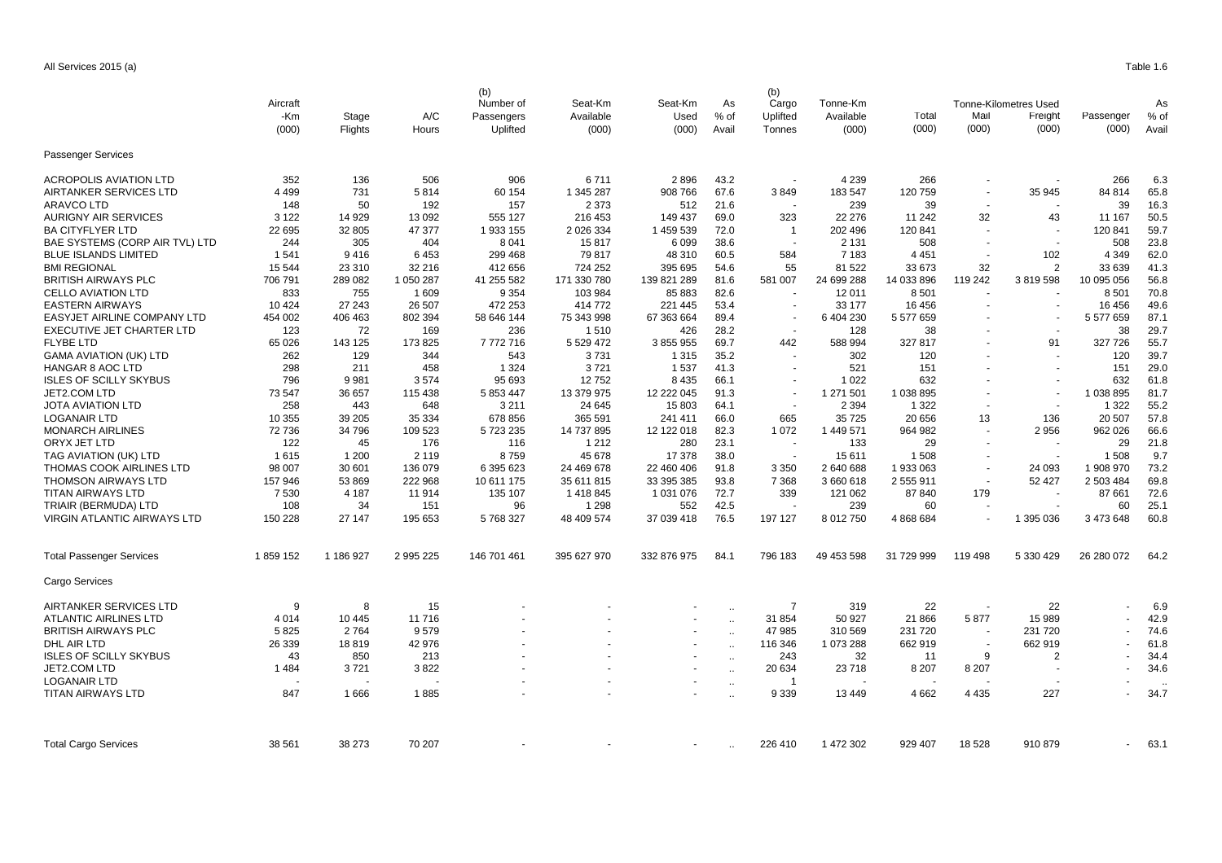|                                 |              |           |              | (b)                                 |                               |                          |                     | (b)                         | Tonne-Km<br>Available<br>(000) |                 |                |                              |            |        |
|---------------------------------|--------------|-----------|--------------|-------------------------------------|-------------------------------|--------------------------|---------------------|-----------------------------|--------------------------------|-----------------|----------------|------------------------------|------------|--------|
|                                 | Aircraft     |           |              | Number of<br>Passengers<br>Uplifted | Seat-Km<br>Available<br>(000) | Seat-Km<br>Used<br>(000) | As<br>% of<br>Avail | Cargo<br>Uplifted<br>Tonnes |                                |                 |                | <b>Tonne-Kilometres Used</b> |            | As     |
|                                 | -Km<br>(000) | Stage     | A/C<br>Hours |                                     |                               |                          |                     |                             |                                | I otal<br>(000) | Mail<br>(000)  | Freight<br>(000)             | Passenger  | $%$ of |
|                                 |              | Flights   |              |                                     |                               |                          |                     |                             |                                |                 |                |                              | (000)      | Avail  |
| <b>Passenger Services</b>       |              |           |              |                                     |                               |                          |                     |                             |                                |                 |                |                              |            |        |
| ACROPOLIS AVIATION LTD          | 352          | 136       | 506          | 906                                 | 6711                          | 2896                     | 43.2                |                             | 4 2 3 9                        | 266             |                |                              | 266        | 6.3    |
| AIRTANKER SERVICES LTD          | 4 4 9 9      | 731       | 5814         | 60 154                              | 1 345 287                     | 908 766                  | 67.6                | 3849                        | 183 547                        | 120 759         | $\sim$         | 35 945                       | 84 814     | 65.8   |
| ARAVCO LTD                      | 148          | 50        | 192          | 157                                 | 2 3 7 3                       | 512                      | 21.6                |                             | 239                            | 39              |                |                              | 39         | 16.3   |
| <b>AURIGNY AIR SERVICES</b>     | 3 1 2 2      | 14 929    | 13 092       | 555 127                             | 216 453                       | 149 437                  | 69.0                | 323                         | 22 276                         | 11 242          | 32             | 43                           | 11 167     | 50.5   |
| <b>BA CITYFLYER LTD</b>         | 22 695       | 32 805    | 47 377       | 1933 155                            | 2 0 26 3 34                   | 1 459 539                | 72.0                | $\overline{1}$              | 202 496                        | 120 841         |                |                              | 120 841    | 59.7   |
| BAE SYSTEMS (CORP AIR TVL) LTD  | 244          | 305       | 404          | 8 0 4 1                             | 15817                         | 6 0 9 9                  | 38.6                |                             | 2 1 3 1                        | 508             |                |                              | 508        | 23.8   |
| <b>BLUE ISLANDS LIMITED</b>     | 1541         | 9416      | 6453         | 299 468                             | 79 817                        | 48 310                   | 60.5                | 584                         | 7 1 8 3                        | 4 4 5 1         |                | 102                          | 4 3 4 9    | 62.0   |
| <b>BMI REGIONAL</b>             | 15 544       | 23 310    | 32 216       | 412 656                             | 724 252                       | 395 695                  | 54.6                | 55                          | 81 522                         | 33 673          | 32             | $\overline{2}$               | 33 639     | 41.3   |
| BRITISH AIRWAYS PLC             | 706 791      | 289 082   | 1 050 287    | 41 255 582                          | 171 330 780                   | 139 821 289              | 81.6                | 581 007                     | 24 699 288                     | 14 033 896      | 119 242        | 3819598                      | 10 095 056 | 56.8   |
| <b>CELLO AVIATION LTD</b>       | 833          | 755       | 1 609        | 9 3 5 4                             | 103 984                       | 85 883                   | 82.6                |                             | 12 011                         | 8 5 0 1         |                |                              | 8501       | 70.8   |
| <b>EASTERN AIRWAYS</b>          | 10 4 24      | 27 243    | 26 507       | 472 253                             | 414 772                       | 221 445                  | 53.4                |                             | 33 177                         | 16 45 6         |                | $\ddot{\phantom{1}}$         | 16 45 6    | 49.6   |
| EASYJET AIRLINE COMPANY LTD     | 454 002      | 406 463   | 802 394      | 58 646 144                          | 75 343 998                    | 67 363 664               | 89.4                | $\overline{\phantom{a}}$    | 6 404 230                      | 5 577 659       |                |                              | 5 577 659  | 87.1   |
| EXECUTIVE JET CHARTER LTD       | 123          | 72        | 169          | 236                                 | 1510                          | 426                      | 28.2                |                             | 128                            | 38              |                |                              | 38         | 29.7   |
| <b>FLYBE LTD</b>                | 65 0 26      | 143 125   | 173 825      | 7772716                             | 5 5 29 4 7 2                  | 3 855 955                | 69.7                | 442                         | 588 994                        | 327 817         |                | 91                           | 327 726    | 55.7   |
| <b>GAMA AVIATION (UK) LTD</b>   | 262          | 129       | 344          | 543                                 | 3731                          | 1 3 1 5                  | 35.2                |                             | 302                            | 120             |                |                              | 120        | 39.7   |
| <b>HANGAR 8 AOC LTD</b>         | 298          | 211       | 458          | 1 3 2 4                             | 3721                          | 1537                     | 41.3                |                             | 521                            | 151             |                |                              | 151        | 29.0   |
| <b>ISLES OF SCILLY SKYBUS</b>   | 796          | 9981      | 3574         | 95 693                              | 12752                         | 8 4 3 5                  | 66.1                |                             | 1 0 2 2                        | 632             |                | $\blacksquare$               | 632        | 61.8   |
| JET2.COM LTD                    | 73 547       | 36 657    | 115 438      | 5 853 447                           | 13 379 975                    | 12 222 045               | 91.3                |                             | 1 271 501                      | 1 038 895       |                | $\blacksquare$               | 1 038 895  | 81.7   |
| JOTA AVIATION LTD               | 258          | 443       | 648          | 3 2 1 1                             | 24 645                        | 15 803                   | 64.1                |                             | 2 3 9 4                        | 1 3 2 2         |                |                              | 1 3 2 2    | 55.2   |
| <b>LOGANAIR LTD</b>             | 10 355       | 39 205    | 35 334       | 678 856                             | 365 591                       | 241 411                  | 66.0                | 665                         | 35 725                         | 20 656          | 13             | 136                          | 20 507     | 57.8   |
| <b>MONARCH AIRLINES</b>         | 72 736       | 34 796    | 109 523      | 5 723 235                           | 14 737 895                    | 12 122 018               | 82.3                | 1072                        | 1 449 571                      | 964 982         |                | 2956                         | 962 026    | 66.6   |
| ORYX JET LTD                    | 122          | 45        | 176          | 116                                 | 1 2 1 2                       | 280                      | 23.1                |                             | 133                            | 29              |                |                              | 29         | 21.8   |
| TAG AVIATION (UK) LTD           | 1615         | 1 200     | 2 1 1 9      | 8759                                | 45 678                        | 17 378                   | 38.0                | $\sim$                      | 15 611                         | 1 508           | $\overline{a}$ | ÷,                           | 1 508      | 9.7    |
| THOMAS COOK AIRLINES LTD        | 98 007       | 30 601    | 136 079      | 6 395 623                           | 24 469 678                    | 22 460 406               | 91.8                | 3 3 5 0                     | 2 640 688                      | 1 933 063       |                | 24 093                       | 1 908 970  | 73.2   |
| <b>THOMSON AIRWAYS LTD</b>      | 157 946      | 53 869    | 222 968      | 10 611 175                          | 35 611 815                    | 33 395 385               | 93.8                | 7 3 6 8                     | 3 660 618                      | 2 555 911       | $\sim$         | 52 427                       | 2 503 484  | 69.8   |
| <b>TITAN AIRWAYS LTD</b>        | 7530         | 4 187     | 11 914       | 135 107                             | 1418845                       | 1 031 076                | 72.7                | 339                         | 121 062                        | 87 840          | 179            |                              | 87 661     | 72.6   |
| TRIAIR (BERMUDA) LTD            | 108          | 34        | 151          | 96                                  | 1 2 9 8                       | 552                      | 42.5                |                             | 239                            | 60              |                |                              | 60         | 25.1   |
| VIRGIN ATLANTIC AIRWAYS LTD     | 150 228      | 27 147    | 195 653      | 5768327                             | 48 409 574                    | 37 039 418               | 76.5                | 197 127                     | 8 012 750                      | 4 868 684       |                | 1 395 036                    | 3 473 648  | 60.8   |
| <b>Total Passenger Services</b> | 1859 152     | 1 186 927 | 2 995 225    | 146 701 461                         | 395 627 970                   | 332 876 975              | 84.1                | 796 183                     | 49 453 598                     | 31 729 999      | 119 498        | 5 330 429                    | 26 280 072 | 64.2   |
| Cargo Services                  |              |           |              |                                     |                               |                          |                     |                             |                                |                 |                |                              |            |        |
| AIRTANKER SERVICES LTD          | 9            | 8         | 15           |                                     |                               |                          | $\ddotsc$           | -7                          | 319                            | 22              |                | 22                           |            | 6.9    |
| ATLANTIC AIRLINES LTD           | 4 0 1 4      | 10 4 45   | 11 716       |                                     |                               |                          | $\ddotsc$           | 31 854                      | 50 927                         | 21 866          | 5877           | 15 989                       |            | 42.9   |
| BRITISH AIRWAYS PLC             | 5825         | 2764      | 9579         |                                     |                               |                          | $\ddotsc$           | 47 985                      | 310 569                        | 231 720         |                | 231 720                      |            | 74.6   |
| DHL AIR LTD                     | 26 339       | 18819     | 42 976       |                                     |                               | ÷                        | $\ddotsc$           | 116 346                     | 1 073 288                      | 662 919         | $\sim$         | 662 919                      |            | 61.8   |
| <b>ISLES OF SCILLY SKYBUS</b>   | 43           | 850       | 213          |                                     |                               |                          | $\ddotsc$           | 243                         | 32                             | 11              | 9              | $\overline{2}$               |            | 34.4   |
| JET2.COM LTD                    | 1484         | 3721      | 3822         |                                     |                               |                          | $\ddotsc$           | 20 634                      | 23718                          | 8 2 0 7         | 8 2 0 7        |                              |            | 34.6   |
| LOGANAIR LTD                    |              |           |              |                                     |                               |                          | $\ddotsc$           | -1                          |                                |                 |                |                              |            |        |
| <b>TITAN AIRWAYS LTD</b>        | 847          | 1666      | 1885         |                                     |                               |                          | $\ddotsc$           | 9 3 3 9                     | 13 449                         | 4662            | 4 4 3 5        | 227                          |            | 34.7   |
|                                 |              |           |              |                                     |                               |                          |                     |                             |                                |                 |                |                              |            |        |
| <b>Total Cargo Services</b>     | 38 561       | 38 273    | 70 207       |                                     |                               |                          |                     | 226 410                     | 1 472 302                      | 929 407         | 18 5 28        | 910 879                      | $\sim$     | 63.1   |